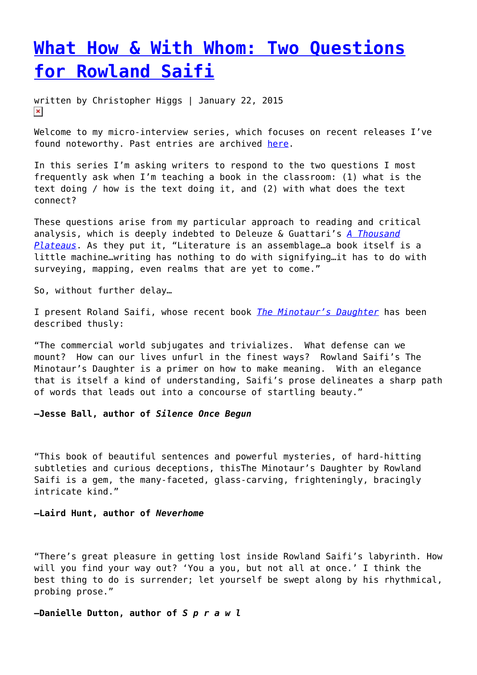# **[What How & With Whom: Two Questions](https://entropymag.org/what-how-with-whom-two-questions-for-rowland-saifi/) [for Rowland Saifi](https://entropymag.org/what-how-with-whom-two-questions-for-rowland-saifi/)**

written by Christopher Higgs | January 22, 2015  $\pmb{\times}$ 

Welcome to my micro-interview series, which focuses on recent releases I've found noteworthy. Past entries are archived [here](https://entropymag.org/tag/what-how-with-whom/).

In this series I'm asking writers to respond to the two questions I most frequently ask when I'm teaching a book in the classroom: (1) what is the text doing / how is the text doing it, and (2) with what does the text connect?

These questions arise from my particular approach to reading and critical analysis, which is deeply indebted to Deleuze & Guattari's *[A Thousand](http://projectlamar.com/media/A-Thousand-Plateaus.pdf) [Plateaus](http://projectlamar.com/media/A-Thousand-Plateaus.pdf)*. As they put it, "Literature is an assemblage…a book itself is a little machine…writing has nothing to do with signifying…it has to do with surveying, mapping, even realms that are yet to come."

So, without further delay…

I present Roland Saifi, whose recent book *[The Minotaur's Daughter](http://www.spuytenduyvil.net/the-minotaur-s-daughter.html)* has been described thusly:

"The commercial world subjugates and trivializes. What defense can we mount? How can our lives unfurl in the finest ways? Rowland Saifi's The Minotaur's Daughter is a primer on how to make meaning. With an elegance that is itself a kind of understanding, Saifi's prose delineates a sharp path of words that leads out into a concourse of startling beauty."

**–Jesse Ball, author of** *Silence Once Begun*

"This book of beautiful sentences and powerful mysteries, of hard-hitting subtleties and curious deceptions, thisThe Minotaur's Daughter by Rowland Saifi is a gem, the many-faceted, glass-carving, frighteningly, bracingly intricate kind."

## **–Laird Hunt, author of** *Neverhome*

"There's great pleasure in getting lost inside Rowland Saifi's labyrinth. How will you find your way out? 'You a you, but not all at once.' I think the best thing to do is surrender; let yourself be swept along by his rhythmical, probing prose."

**–Danielle Dutton, author of** *S p r a w l*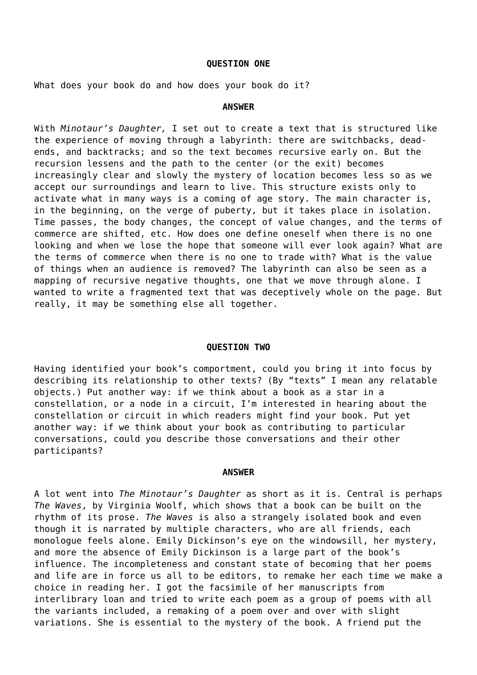## **QUESTION ONE**

What does your book do and how does your book do it?

### **ANSWER**

With *Minotaur's Daughter,* I set out to create a text that is structured like the experience of moving through a labyrinth: there are switchbacks, deadends, and backtracks; and so the text becomes recursive early on. But the recursion lessens and the path to the center (or the exit) becomes increasingly clear and slowly the mystery of location becomes less so as we accept our surroundings and learn to live. This structure exists only to activate what in many ways is a coming of age story. The main character is, in the beginning, on the verge of puberty, but it takes place in isolation. Time passes, the body changes, the concept of value changes, and the terms of commerce are shifted, etc. How does one define oneself when there is no one looking and when we lose the hope that someone will ever look again? What are the terms of commerce when there is no one to trade with? What is the value of things when an audience is removed? The labyrinth can also be seen as a mapping of recursive negative thoughts, one that we move through alone. I wanted to write a fragmented text that was deceptively whole on the page. But really, it may be something else all together.

## **QUESTION TWO**

Having identified your book's comportment, could you bring it into focus by describing its relationship to other texts? (By "texts" I mean any relatable objects.) Put another way: if we think about a book as a star in a constellation, or a node in a circuit, I'm interested in hearing about the constellation or circuit in which readers might find your book. Put yet another way: if we think about your book as contributing to particular conversations, could you describe those conversations and their other participants?

#### **ANSWER**

A lot went into *The Minotaur's Daughter* as short as it is. Central is perhaps *The Waves*, by Virginia Woolf, which shows that a book can be built on the rhythm of its prose. *The Waves* is also a strangely isolated book and even though it is narrated by multiple characters, who are all friends, each monologue feels alone. Emily Dickinson's eye on the windowsill, her mystery, and more the absence of Emily Dickinson is a large part of the book's influence. The incompleteness and constant state of becoming that her poems and life are in force us all to be editors, to remake her each time we make a choice in reading her. I got the facsimile of her manuscripts from interlibrary loan and tried to write each poem as a group of poems with all the variants included, a remaking of a poem over and over with slight variations. She is essential to the mystery of the book. A friend put the